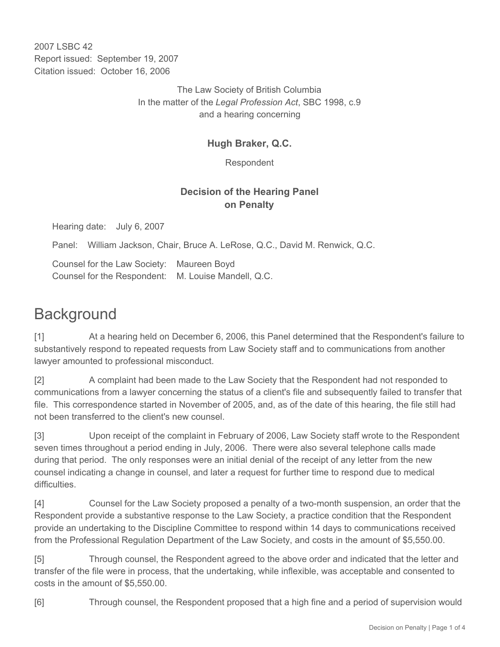2007 LSBC 42 Report issued: September 19, 2007 Citation issued: October 16, 2006

> The Law Society of British Columbia In the matter of the *Legal Profession Act*, SBC 1998, c.9 and a hearing concerning

### **Hugh Braker, Q.C.**

Respondent

### **Decision of the Hearing Panel on Penalty**

Hearing date: July 6, 2007

Panel: William Jackson, Chair, Bruce A. LeRose, Q.C., David M. Renwick, Q.C.

Counsel for the Law Society: Maureen Boyd Counsel for the Respondent: M. Louise Mandell, Q.C.

# **Background**

[1] At a hearing held on December 6, 2006, this Panel determined that the Respondent's failure to substantively respond to repeated requests from Law Society staff and to communications from another lawyer amounted to professional misconduct.

[2] A complaint had been made to the Law Society that the Respondent had not responded to communications from a lawyer concerning the status of a client's file and subsequently failed to transfer that file. This correspondence started in November of 2005, and, as of the date of this hearing, the file still had not been transferred to the client's new counsel.

[3] Upon receipt of the complaint in February of 2006, Law Society staff wrote to the Respondent seven times throughout a period ending in July, 2006. There were also several telephone calls made during that period. The only responses were an initial denial of the receipt of any letter from the new counsel indicating a change in counsel, and later a request for further time to respond due to medical difficulties.

[4] Counsel for the Law Society proposed a penalty of a two-month suspension, an order that the Respondent provide a substantive response to the Law Society, a practice condition that the Respondent provide an undertaking to the Discipline Committee to respond within 14 days to communications received from the Professional Regulation Department of the Law Society, and costs in the amount of \$5,550.00.

[5] Through counsel, the Respondent agreed to the above order and indicated that the letter and transfer of the file were in process, that the undertaking, while inflexible, was acceptable and consented to costs in the amount of \$5,550.00.

[6] Through counsel, the Respondent proposed that a high fine and a period of supervision would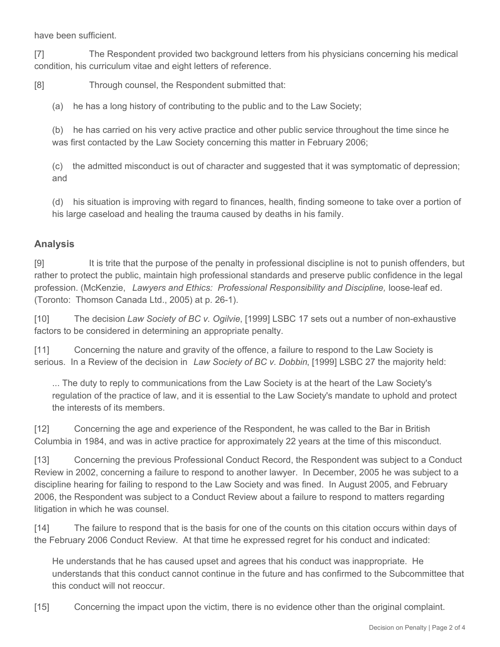have been sufficient.

[7] The Respondent provided two background letters from his physicians concerning his medical condition, his curriculum vitae and eight letters of reference.

[8] Through counsel, the Respondent submitted that:

(a) he has a long history of contributing to the public and to the Law Society;

(b) he has carried on his very active practice and other public service throughout the time since he was first contacted by the Law Society concerning this matter in February 2006;

(c) the admitted misconduct is out of character and suggested that it was symptomatic of depression; and

(d) his situation is improving with regard to finances, health, finding someone to take over a portion of his large caseload and healing the trauma caused by deaths in his family.

#### **Analysis**

[9] It is trite that the purpose of the penalty in professional discipline is not to punish offenders, but rather to protect the public, maintain high professional standards and preserve public confidence in the legal profession. (McKenzie, Lawyers and Ethics: Professional Responsibility and Discipline, loose-leaf ed. (Toronto: Thomson Canada Ltd., 2005) at p. 26-1).

[10] The decision *Law Society of BC v. Ogilvie*, [1999] LSBC 17 sets out a number of non-exhaustive factors to be considered in determining an appropriate penalty.

[11] Concerning the nature and gravity of the offence, a failure to respond to the Law Society is serious. In a Review of the decision in *Law Society of BC v. Dobbin*, [1999] LSBC 27 the majority held:

... The duty to reply to communications from the Law Society is at the heart of the Law Society's regulation of the practice of law, and it is essential to the Law Society's mandate to uphold and protect the interests of its members.

[12] Concerning the age and experience of the Respondent, he was called to the Bar in British Columbia in 1984, and was in active practice for approximately 22 years at the time of this misconduct.

[13] Concerning the previous Professional Conduct Record, the Respondent was subject to a Conduct Review in 2002, concerning a failure to respond to another lawyer. In December, 2005 he was subject to a discipline hearing for failing to respond to the Law Society and was fined. In August 2005, and February 2006, the Respondent was subject to a Conduct Review about a failure to respond to matters regarding litigation in which he was counsel.

[14] The failure to respond that is the basis for one of the counts on this citation occurs within days of the February 2006 Conduct Review. At that time he expressed regret for his conduct and indicated:

He understands that he has caused upset and agrees that his conduct was inappropriate. He understands that this conduct cannot continue in the future and has confirmed to the Subcommittee that this conduct will not reoccur.

[15] Concerning the impact upon the victim, there is no evidence other than the original complaint.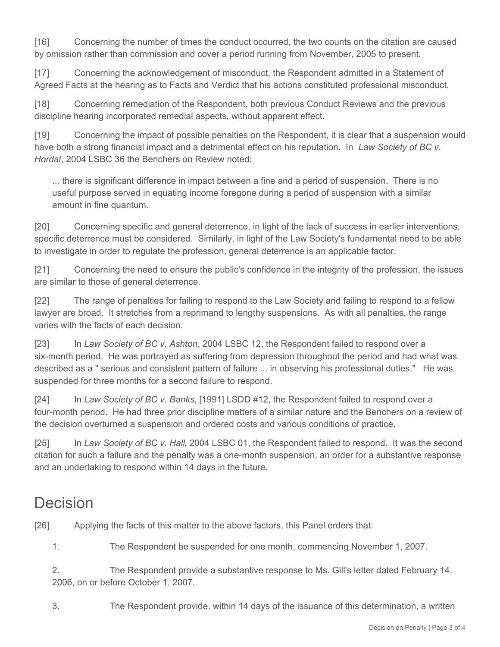[16] Concerning the number of times the conduct occurred, the two counts on the citation are caused by omission rather than commission and cover a period running from November, 2005 to present.

[17] Concerning the acknowledgement of misconduct, the Respondent admitted in a Statement of Agreed Facts at the hearing as to Facts and Verdict that his actions constituted professional misconduct.

[18] Concerning remediation of the Respondent, both previous Conduct Reviews and the previous discipline hearing incorporated remedial aspects, without apparent effect.

[19] Concerning the impact of possible penalties on the Respondent, it is clear that a suspension would have both a strong financial impact and a detrimental effect on his reputation. In *Law Society of BC v. Hordal*, 2004 LSBC 36 the Benchers on Review noted:

... there is significant difference in impact between a fine and a period of suspension. There is no useful purpose served in equating income foregone during a period of suspension with a similar amount in fine quantum.

[20] Concerning specific and general deterrence, in light of the lack of success in earlier interventions, specific deterrence must be considered. Similarly, in light of the Law Society's fundamental need to be able to investigate in order to regulate the profession, general deterrence is an applicable factor.

[21] Concerning the need to ensure the public's confidence in the integrity of the profession, the issues are similar to those of general deterrence.

[22] The range of penalties for failing to respond to the Law Society and failing to respond to a fellow lawyer are broad. It stretches from a reprimand to lengthy suspensions. As with all penalties, the range varies with the facts of each decision.

[23] In *Law Society of BC v. Ashton*, 2004 LSBC 12, the Respondent failed to respond over a six-month period. He was portrayed as suffering from depression throughout the period and had what was described as a " serious and consistent pattern of failure ... in observing his professional duties." He was suspended for three months for a second failure to respond.

[24] In *Law Society of BC v. Banks*, [1991] LSDD #12, the Respondent failed to respond over a four-month period. He had three prior discipline matters of a similar nature and the Benchers on a review of the decision overturned a suspension and ordered costs and various conditions of practice.

[25] In *Law Society of BC v. Hall*, 2004 LSBC 01, the Respondent failed to respond. It was the second citation for such a failure and the penalty was a one-month suspension, an order for a substantive response and an undertaking to respond within 14 days in the future.

## Decision

[26] Applying the facts of this matter to the above factors, this Panel orders that:

1. The Respondent be suspended for one month, commencing November 1, 2007.

2. The Respondent provide a substantive response to Ms. Gill's letter dated February 14, 2006, on or before October 1, 2007.

3. The Respondent provide, within 14 days of the issuance of this determination, a written